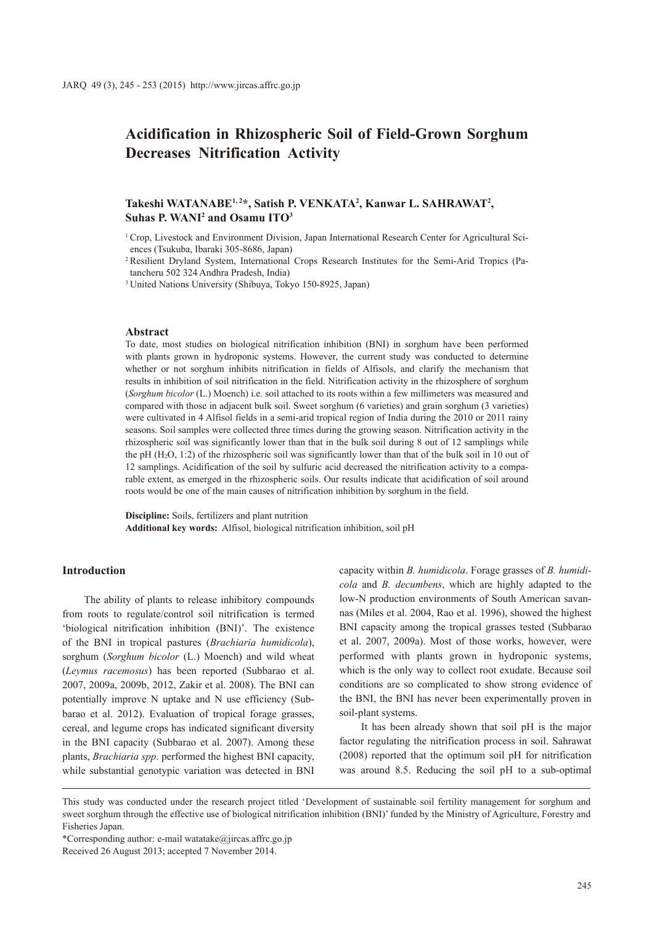# **Acidification in Rhizospheric Soil of Field-Grown Sorghum Decreases Nitrification Activity**

# Takeshi WATANABE<sup>1,2\*</sup>, Satish P. VENKATA<sup>2</sup>, Kanwar L. SAHRAWAT<sup>2</sup>, **Suhas P. WANI2 and Osamu ITO3**

<sup>1</sup> Crop, Livestock and Environment Division, Japan International Research Center for Agricultural Sciences (Tsukuba, Ibaraki 305-8686, Japan)

<sup>2</sup> Resilient Dryland System, International Crops Research Institutes for the Semi-Arid Tropics (Patancheru 502 324 Andhra Pradesh, India)

<sup>3</sup> United Nations University (Shibuya, Tokyo 150-8925, Japan)

### **Abstract**

To date, most studies on biological nitrification inhibition (BNI) in sorghum have been performed with plants grown in hydroponic systems. However, the current study was conducted to determine whether or not sorghum inhibits nitrification in fields of Alfisols, and clarify the mechanism that results in inhibition of soil nitrification in the field. Nitrification activity in the rhizosphere of sorghum (*Sorghum bicolor* (L.) Moench) i.e. soil attached to its roots within a few millimeters was measured and compared with those in adjacent bulk soil. Sweet sorghum (6 varieties) and grain sorghum (3 varieties) were cultivated in 4 Alfisol fields in a semi-arid tropical region of India during the 2010 or 2011 rainy seasons. Soil samples were collected three times during the growing season. Nitrification activity in the rhizospheric soil was significantly lower than that in the bulk soil during 8 out of 12 samplings while the pH (H2O, 1:2) of the rhizospheric soil was significantly lower than that of the bulk soil in 10 out of 12 samplings. Acidification of the soil by sulfuric acid decreased the nitrification activity to a comparable extent, as emerged in the rhizospheric soils. Our results indicate that acidification of soil around roots would be one of the main causes of nitrification inhibition by sorghum in the field.

**Discipline:** Soils, fertilizers and plant nutrition **Additional key words:** Alfisol, biological nitrification inhibition, soil pH

# **Introduction**

The ability of plants to release inhibitory compounds from roots to regulate/control soil nitrification is termed 'biological nitrification inhibition (BNI)'. The existence of the BNI in tropical pastures (*Brachiaria humidicola*), sorghum (*Sorghum bicolor* (L.) Moench) and wild wheat (*Leymus racemosus*) has been reported (Subbarao et al. 2007, 2009a, 2009b, 2012, Zakir et al. 2008). The BNI can potentially improve N uptake and N use efficiency (Subbarao et al. 2012). Evaluation of tropical forage grasses, cereal, and legume crops has indicated significant diversity in the BNI capacity (Subbarao et al. 2007). Among these plants, *Brachiaria spp*. performed the highest BNI capacity, while substantial genotypic variation was detected in BNI

capacity within *B. humidicola*. Forage grasses of *B. humidicola* and *B. decumbens*, which are highly adapted to the low-N production environments of South American savannas (Miles et al. 2004, Rao et al. 1996), showed the highest BNI capacity among the tropical grasses tested (Subbarao et al. 2007, 2009a). Most of those works, however, were performed with plants grown in hydroponic systems, which is the only way to collect root exudate. Because soil conditions are so complicated to show strong evidence of the BNI, the BNI has never been experimentally proven in soil-plant systems.

It has been already shown that soil pH is the major factor regulating the nitrification process in soil. Sahrawat (2008) reported that the optimum soil pH for nitrification was around 8.5. Reducing the soil pH to a sub-optimal

\*Corresponding author: e-mail watatake@jircas.affrc.go.jp

This study was conducted under the research project titled 'Development of sustainable soil fertility management for sorghum and sweet sorghum through the effective use of biological nitrification inhibition (BNI)' funded by the Ministry of Agriculture, Forestry and Fisheries Japan.

Received 26 August 2013; accepted 7 November 2014.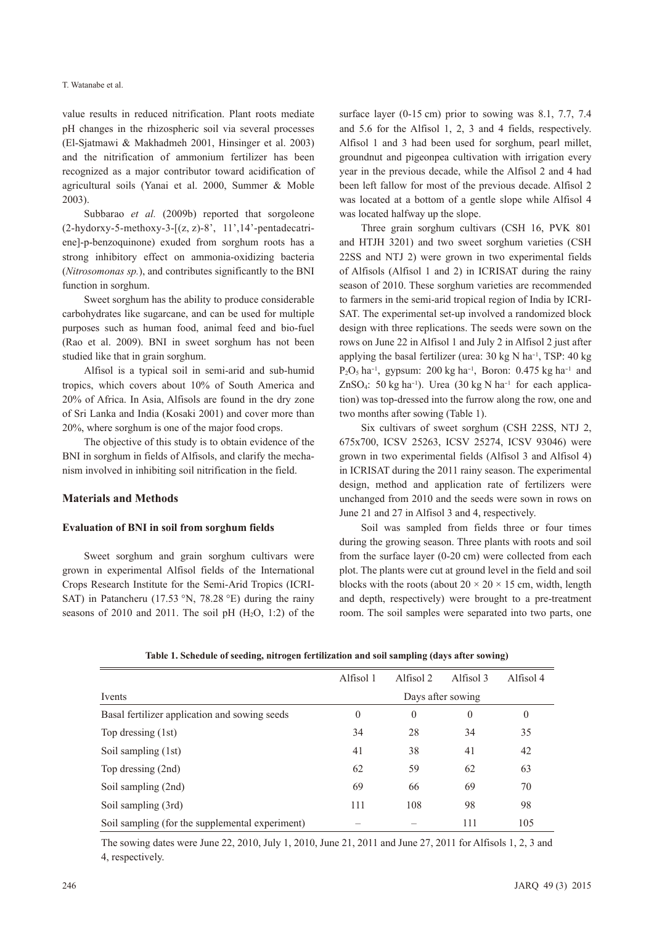value results in reduced nitrification. Plant roots mediate pH changes in the rhizospheric soil via several processes (El-Sjatmawi & Makhadmeh 2001, Hinsinger et al. 2003) and the nitrification of ammonium fertilizer has been recognized as a major contributor toward acidification of agricultural soils (Yanai et al. 2000, Summer & Moble 2003).

Subbarao *et al.* (2009b) reported that sorgoleone (2-hydorxy-5-methoxy-3-[(z, z)-8', 11',14'-pentadecatriene]-p-benzoquinone) exuded from sorghum roots has a strong inhibitory effect on ammonia-oxidizing bacteria (*Nitrosomonas sp.*), and contributes significantly to the BNI function in sorghum.

Sweet sorghum has the ability to produce considerable carbohydrates like sugarcane, and can be used for multiple purposes such as human food, animal feed and bio-fuel (Rao et al. 2009). BNI in sweet sorghum has not been studied like that in grain sorghum.

Alfisol is a typical soil in semi-arid and sub-humid tropics, which covers about 10% of South America and 20% of Africa. In Asia, Alfisols are found in the dry zone of Sri Lanka and India (Kosaki 2001) and cover more than 20%, where sorghum is one of the major food crops.

The objective of this study is to obtain evidence of the BNI in sorghum in fields of Alfisols, and clarify the mechanism involved in inhibiting soil nitrification in the field.

### **Materials and Methods**

#### **Evaluation of BNI in soil from sorghum fields**

Sweet sorghum and grain sorghum cultivars were grown in experimental Alfisol fields of the International Crops Research Institute for the Semi-Arid Tropics (ICRI-SAT) in Patancheru (17.53 °N, 78.28 °E) during the rainy seasons of 2010 and 2011. The soil pH  $(H<sub>2</sub>O, 1:2)$  of the surface layer (0-15 cm) prior to sowing was 8.1, 7.7, 7.4 and 5.6 for the Alfisol 1, 2, 3 and 4 fields, respectively. Alfisol 1 and 3 had been used for sorghum, pearl millet, groundnut and pigeonpea cultivation with irrigation every year in the previous decade, while the Alfisol 2 and 4 had been left fallow for most of the previous decade. Alfisol 2 was located at a bottom of a gentle slope while Alfisol 4 was located halfway up the slope.

Three grain sorghum cultivars (CSH 16, PVK 801 and HTJH 3201) and two sweet sorghum varieties (CSH 22SS and NTJ 2) were grown in two experimental fields of Alfisols (Alfisol 1 and 2) in ICRISAT during the rainy season of 2010. These sorghum varieties are recommended to farmers in the semi-arid tropical region of India by ICRI-SAT. The experimental set-up involved a randomized block design with three replications. The seeds were sown on the rows on June 22 in Alfisol 1 and July 2 in Alfisol 2 just after applying the basal fertilizer (urea: 30 kg N ha<sup>-1</sup>, TSP: 40 kg  $P_2O_5$  ha<sup>-1</sup>, gypsum: 200 kg ha<sup>-1</sup>, Boron: 0.475 kg ha<sup>-1</sup> and ZnSO<sub>4</sub>: 50 kg ha<sup>-1</sup>). Urea (30 kg N ha<sup>-1</sup> for each application) was top-dressed into the furrow along the row, one and two months after sowing (Table 1).

Six cultivars of sweet sorghum (CSH 22SS, NTJ 2, 675x700, ICSV 25263, ICSV 25274, ICSV 93046) were grown in two experimental fields (Alfisol 3 and Alfisol 4) in ICRISAT during the 2011 rainy season. The experimental design, method and application rate of fertilizers were unchanged from 2010 and the seeds were sown in rows on June 21 and 27 in Alfisol 3 and 4, respectively.

Soil was sampled from fields three or four times during the growing season. Three plants with roots and soil from the surface layer (0-20 cm) were collected from each plot. The plants were cut at ground level in the field and soil blocks with the roots (about  $20 \times 20 \times 15$  cm, width, length and depth, respectively) were brought to a pre-treatment room. The soil samples were separated into two parts, one

**Table 1. Schedule of seeding, nitrogen fertilization and soil sampling (days after sowing)**

|                                                 | Alfisol 1         | Alfisol 2 | Alfisol 3 | Alfisol 4 |  |
|-------------------------------------------------|-------------------|-----------|-----------|-----------|--|
| Ivents                                          | Days after sowing |           |           |           |  |
| Basal fertilizer application and sowing seeds   | $\boldsymbol{0}$  | $\theta$  | $\theta$  | $\theta$  |  |
| Top dressing (1st)                              | 34                | 28        | 34        | 35        |  |
| Soil sampling (1st)                             | 41                | 38        | 41        | 42        |  |
| Top dressing (2nd)                              | 62                | 59        | 62        | 63        |  |
| Soil sampling (2nd)                             | 69                | 66        | 69        | 70        |  |
| Soil sampling (3rd)                             | 111               | 108       | 98        | 98        |  |
| Soil sampling (for the supplemental experiment) |                   |           | 111       | 105       |  |
|                                                 |                   |           |           |           |  |

The sowing dates were June 22, 2010, July 1, 2010, June 21, 2011 and June 27, 2011 for Alfisols 1, 2, 3 and 4, respectively.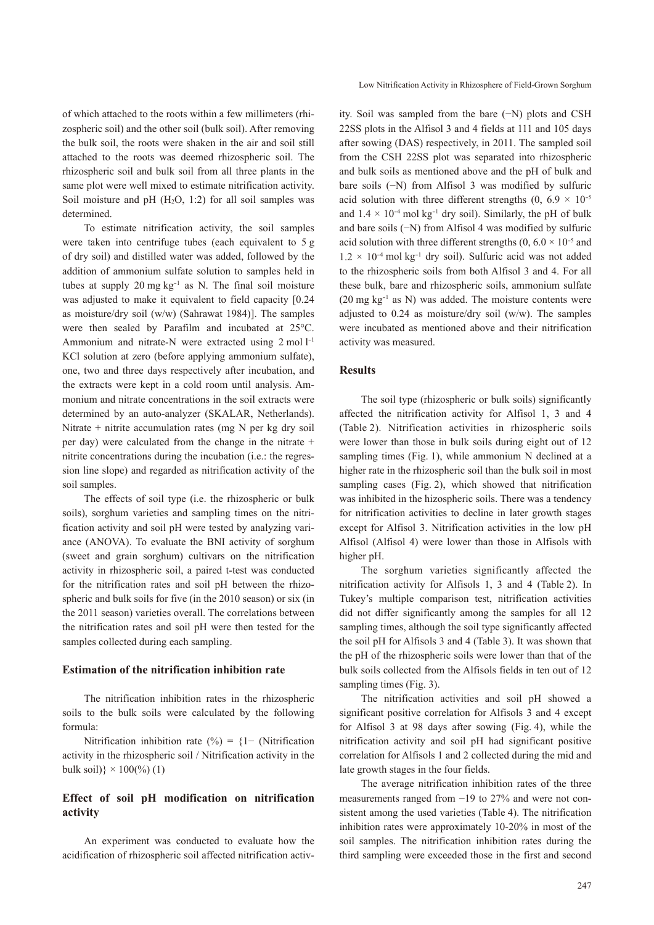of which attached to the roots within a few millimeters (rhizospheric soil) and the other soil (bulk soil). After removing the bulk soil, the roots were shaken in the air and soil still attached to the roots was deemed rhizospheric soil. The rhizospheric soil and bulk soil from all three plants in the same plot were well mixed to estimate nitrification activity. Soil moisture and  $pH$  (H<sub>2</sub>O, 1:2) for all soil samples was determined.

To estimate nitrification activity, the soil samples were taken into centrifuge tubes (each equivalent to 5 g of dry soil) and distilled water was added, followed by the addition of ammonium sulfate solution to samples held in tubes at supply  $20 \text{ mg kg}^{-1}$  as N. The final soil moisture was adjusted to make it equivalent to field capacity [0.24 as moisture/dry soil (w/w) (Sahrawat 1984)]. The samples were then sealed by Parafilm and incubated at 25°C. Ammonium and nitrate-N were extracted using 2 mol l<sup>-1</sup> KCl solution at zero (before applying ammonium sulfate), one, two and three days respectively after incubation, and the extracts were kept in a cold room until analysis. Ammonium and nitrate concentrations in the soil extracts were determined by an auto-analyzer (SKALAR, Netherlands). Nitrate + nitrite accumulation rates (mg N per kg dry soil per day) were calculated from the change in the nitrate + nitrite concentrations during the incubation (i.e.: the regression line slope) and regarded as nitrification activity of the soil samples.

The effects of soil type (i.e. the rhizospheric or bulk soils), sorghum varieties and sampling times on the nitrification activity and soil pH were tested by analyzing variance (ANOVA). To evaluate the BNI activity of sorghum (sweet and grain sorghum) cultivars on the nitrification activity in rhizospheric soil, a paired t-test was conducted for the nitrification rates and soil pH between the rhizospheric and bulk soils for five (in the 2010 season) or six (in the 2011 season) varieties overall. The correlations between the nitrification rates and soil pH were then tested for the samples collected during each sampling.

### **Estimation of the nitrification inhibition rate**

The nitrification inhibition rates in the rhizospheric soils to the bulk soils were calculated by the following formula:

Nitrification inhibition rate (%) =  ${1 - (Nitrification)}$ activity in the rhizospheric soil / Nitrification activity in the bulk soil) $\} \times 100$ (%) (1)

# **Effect of soil pH modification on nitrification activity**

An experiment was conducted to evaluate how the acidification of rhizospheric soil affected nitrification activLow Nitrification Activity in Rhizosphere of Field-Grown Sorghum

ity. Soil was sampled from the bare (−N) plots and CSH 22SS plots in the Alfisol 3 and 4 fields at 111 and 105 days after sowing (DAS) respectively, in 2011. The sampled soil from the CSH 22SS plot was separated into rhizospheric and bulk soils as mentioned above and the pH of bulk and bare soils (−N) from Alfisol 3 was modified by sulfuric acid solution with three different strengths  $(0, 6.9 \times 10^{-5})$ and  $1.4 \times 10^{-4}$  mol kg<sup>-1</sup> dry soil). Similarly, the pH of bulk and bare soils (−N) from Alfisol 4 was modified by sulfuric acid solution with three different strengths  $(0, 6.0 \times 10^{-5}$  and  $1.2 \times 10^{-4}$  mol kg<sup>-1</sup> dry soil). Sulfuric acid was not added to the rhizospheric soils from both Alfisol 3 and 4. For all these bulk, bare and rhizospheric soils, ammonium sulfate (20 mg kg-1 as N) was added. The moisture contents were adjusted to 0.24 as moisture/dry soil (w/w). The samples were incubated as mentioned above and their nitrification activity was measured.

### **Results**

The soil type (rhizospheric or bulk soils) significantly affected the nitrification activity for Alfisol 1, 3 and 4 (Table 2). Nitrification activities in rhizospheric soils were lower than those in bulk soils during eight out of 12 sampling times (Fig. 1), while ammonium N declined at a higher rate in the rhizospheric soil than the bulk soil in most sampling cases (Fig. 2), which showed that nitrification was inhibited in the hizospheric soils. There was a tendency for nitrification activities to decline in later growth stages except for Alfisol 3. Nitrification activities in the low pH Alfisol (Alfisol 4) were lower than those in Alfisols with higher pH.

The sorghum varieties significantly affected the nitrification activity for Alfisols 1, 3 and 4 (Table 2). In Tukey's multiple comparison test, nitrification activities did not differ significantly among the samples for all 12 sampling times, although the soil type significantly affected the soil pH for Alfisols 3 and 4 (Table 3). It was shown that the pH of the rhizospheric soils were lower than that of the bulk soils collected from the Alfisols fields in ten out of 12 sampling times (Fig. 3).

The nitrification activities and soil pH showed a significant positive correlation for Alfisols 3 and 4 except for Alfisol 3 at 98 days after sowing (Fig. 4), while the nitrification activity and soil pH had significant positive correlation for Alfisols 1 and 2 collected during the mid and late growth stages in the four fields.

The average nitrification inhibition rates of the three measurements ranged from −19 to 27% and were not consistent among the used varieties (Table 4). The nitrification inhibition rates were approximately 10-20% in most of the soil samples. The nitrification inhibition rates during the third sampling were exceeded those in the first and second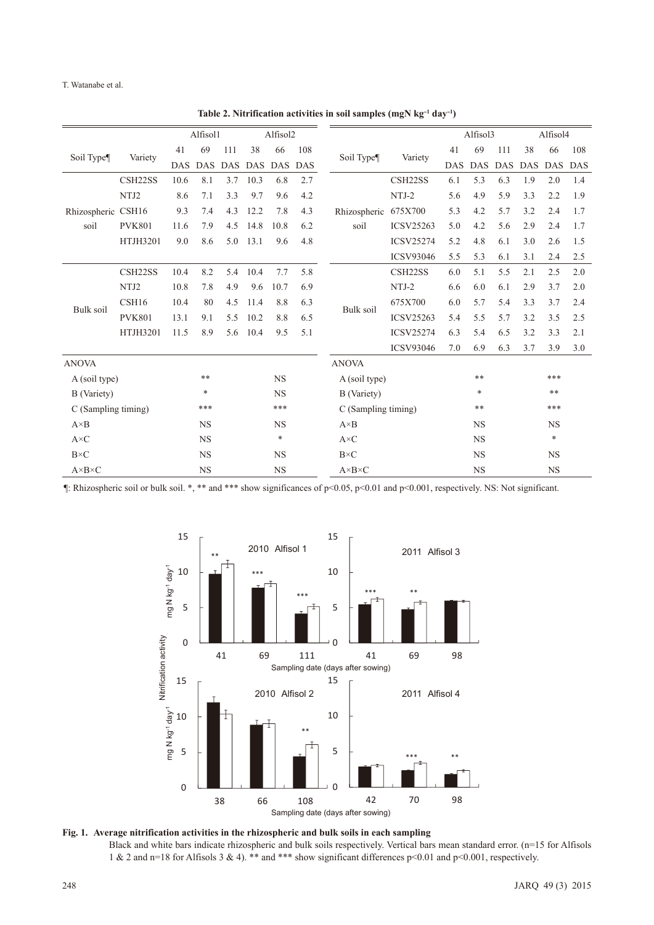T. Watanabe et al.

Alfisol1 Alfisol2 Alfisol3 Alfisol4 Soil Type¶ Variety 41 69 111 38 66 108 Soil Type¶ Variety 41 69 111 38 66 108 DAS DAS DAS DAS DAS DAS DAS DAS DAS DAS DAS DAS Rhizospheric soil CSH22SS 10.6 8.1 3.7 10.3 6.8 2.7 CSH16 9.3 7.4 4.3 12.2 7.8 4.3 Rhizospheric 675X700 5.3 4.2 5.7 3.2 2.4 1.7 soil CSH22SS 6.1 5.3 6.3 1.9 2.0 1.4 NTJ2 8.6 7.1 3.3 9.7 9.6 4.2 NTJ-2 5.6 4.9 5.9 3.3 2.2 1.9 PVK801 11.6 7.9 4.5 14.8 10.8 6.2 ICSV25263 5.0 4.2 5.6 2.9 2.4 1.7 HTJH3201 9.0 8.6 5.0 13.1 9.6 4.8 ICSV25274 5.2 4.8 6.1 3.0 2.6 1.5 ICSV93046 5.5 5.3 6.1 3.1 2.4 2.5 Bulk soil CSH22SS 10.4 8.2 5.4 10.4 7.7 5.8 Bulk soil CSH22SS 6.0 5.1 5.5 2.1 2.5 2.0 NTJ2 10.8 7.8 4.9 9.6 10.7 6.9 NTJ-2 6.6 6.0 6.1 2.9 3.7 2.0 CSH16 10.4 80 4.5 11.4 8.8 6.3 (675X700 6.0 5.7 5.4 3.3 3.7 2.4 PVK801 13.1 9.1 5.5 10.2 8.8 6.5 ICSV25263 5.4 5.5 5.7 3.2 3.5 2.5 HTJH3201 11.5 8.9 5.6 10.4 9.5 5.1 ICSV25274 6.3 5.4 6.5 3.2 3.3 2.1 ICSV93046 7.0 6.9 6.3 3.7 3.9 3.0 ANOVA ANOVA A (soil type) \*\* \* NS A (soil type) \*\* \* \* \*\* B (Variety) \* NS B (Variety) \* \*\* C (Sampling timing) \*\*\* \*\*\* C (Sampling timing) \*\*\* \*\*\* \*\*\* A×B NS NS A×B NS NS NS  $A \times C$  NS  $\longrightarrow$   $A \times C$  NS  $\longrightarrow$ B×C NS NS B×C NS NS A×B×C NS NS A×B×C NS NS

| Table 2. Nitrification activities in soil samples (mgN $kg^{-1}$ day <sup>-1</sup> ) |  |  |  |  |
|--------------------------------------------------------------------------------------|--|--|--|--|
|--------------------------------------------------------------------------------------|--|--|--|--|

¶: Rhizospheric soil or bulk soil. \*, \*\* and \*\*\* show significances of p<0.05, p<0.01 and p<0.001, respectively. NS: Not significant.



**Fig. 1. Average nitrification activities in the rhizospheric and bulk soils in each sampling** Black and white bars indicate rhizospheric and bulk soils respectively. Vertical bars mean standard error. (n=15 for Alfisols 1 & 2 and n=18 for Alfisols 3 & 4). \*\* and \*\*\* show significant differences p<0.01 and p<0.001, respectively.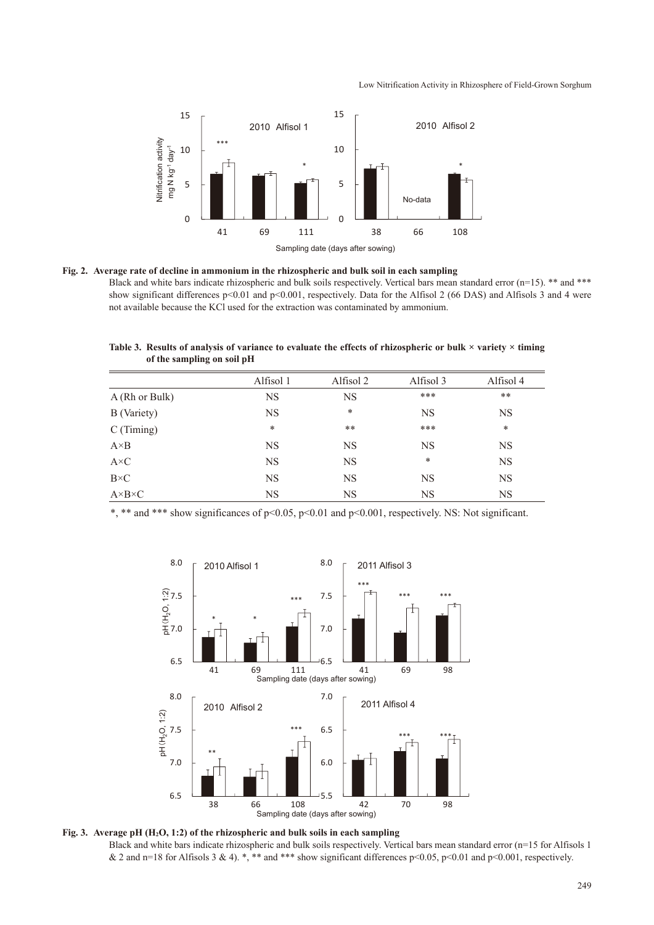#### Low Nitrification Activity in Rhizosphere of Field-Grown Sorghum



**Fig. 2. Average rate of decline in ammonium in the rhizospheric and bulk soil in each sampling** Black and white bars indicate rhizospheric and bulk soils respectively. Vertical bars mean standard error (n=15). \*\* and \*\*\* show significant differences p<0.01 and p<0.001, respectively. Data for the Alfisol 2 (66 DAS) and Alfisols 3 and 4 were

not available because the KCl used for the extraction was contaminated by ammonium.

**Table 3. Results of analysis of variance to evaluate the effects of rhizospheric or bulk × variety × timing of the sampling on soil pH**

|                                        | Alfisol 1 | Alfisol 2 | Alfisol 3 | Alfisol 4 |
|----------------------------------------|-----------|-----------|-----------|-----------|
| A (Rh or Bulk)                         | <b>NS</b> | <b>NS</b> | ***       | $***$     |
| B (Variety)                            | <b>NS</b> | *         | <b>NS</b> | <b>NS</b> |
| $C$ (Timing)                           | $\ast$    | $***$     | ***       | $\ast$    |
| $A \times B$                           | NS        | <b>NS</b> | <b>NS</b> | <b>NS</b> |
| $\mathbf{A} \!\!\times\!\! \mathbf{C}$ | <b>NS</b> | <b>NS</b> | $\ast$    | <b>NS</b> |
| $\mathbf{B} \!\!\times\!\! \mathbf{C}$ | <b>NS</b> | <b>NS</b> | <b>NS</b> | <b>NS</b> |
| $A \times B \times C$                  | NS        | <b>NS</b> | <b>NS</b> | <b>NS</b> |

\*, \*\* and \*\*\* show significances of p<0.05, p<0.01 and p<0.001, respectively. NS: Not significant.



**Fig. 3. Average pH (H2O, 1:2) of the rhizospheric and bulk soils in each sampling** Black and white bars indicate rhizospheric and bulk soils respectively. Vertical bars mean standard error (n=15 for Alfisols 1 & 2 and n=18 for Alfisols 3 & 4). \*, \*\* and \*\*\* show significant differences p<0.05, p<0.01 and p<0.001, respectively.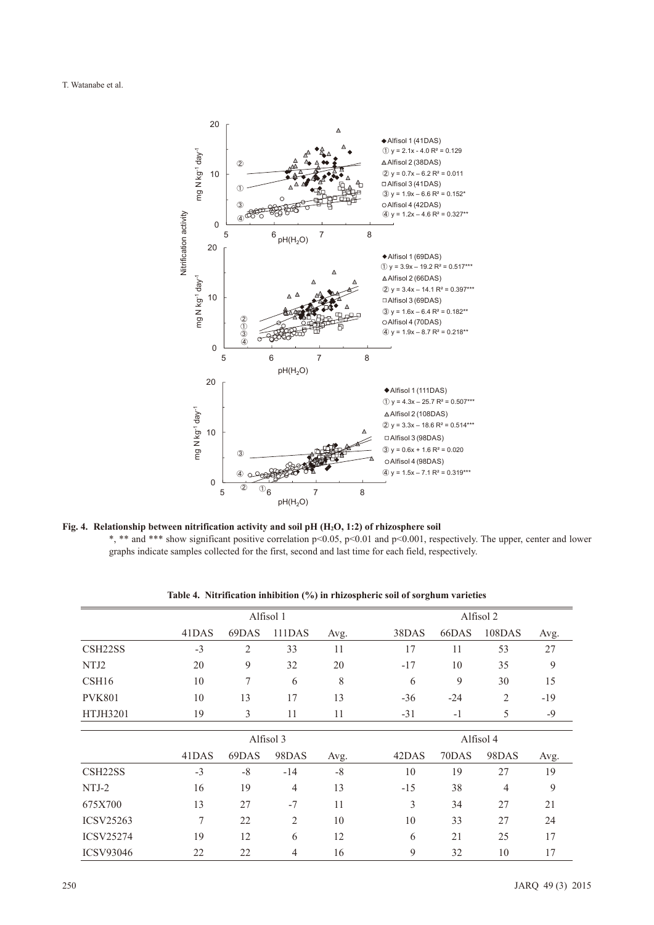#### T. Watanabe et al.



Fig. 4. Relationship between nitrification activity and soil pH (H<sub>2</sub>O, 1:2) of rhizosphere soil \*, \*\* and \*\*\* show significant positive correlation p<0.05, p<0.01 and p<0.001, respectively. The upper, center and lower graphs indicate samples collected for the first, second and last time for each field, respectively.

| Alfisol 1 |                |                |      | Alfisol 2 |           |                |       |  |
|-----------|----------------|----------------|------|-----------|-----------|----------------|-------|--|
| 41DAS     | 69DAS          | 111DAS         | Avg. | 38DAS     | 66DAS     | 108DAS         | Avg.  |  |
| $-3$      | $\overline{2}$ | 33             | 11   | 17        | 11        | 53             | 27    |  |
| 20        | 9              | 32             | 20   | $-17$     | 10        | 35             | 9     |  |
| 10        | 7              | 6              | 8    | 6         | 9         | 30             | 15    |  |
| 10        | 13             | 17             | 13   | $-36$     | $-24$     | $\overline{2}$ | $-19$ |  |
| 19        | 3              | 11             | 11   | $-31$     | $-1$      | 5              | $-9$  |  |
|           | Alfisol 3      |                |      |           | Alfisol 4 |                |       |  |
| 41DAS     | 69DAS          | 98DAS          | Avg. | 42DAS     | 70DAS     | 98DAS          | Avg.  |  |
| $-3$      | $-8$           | $-14$          | $-8$ | 10        | 19        | 27             | 19    |  |
| 16        | 19             | 4              | 13   | $-15$     | 38        | 4              | 9     |  |
| 13        | 27             | $-7$           | 11   | 3         | 34        | 27             | 21    |  |
| 7         | 22             | $\overline{2}$ | 10   | 10        | 33        | 27             | 24    |  |
| 19        | 12             | 6              | 12   | 6         | 21        | 25             | 17    |  |
| 22        | 22             | 4              | 16   | 9         | 32        | 10             | 17    |  |
|           |                |                |      |           |           |                |       |  |

**Table 4. Nitrification inhibition (%) in rhizospheric soil of sorghum varieties**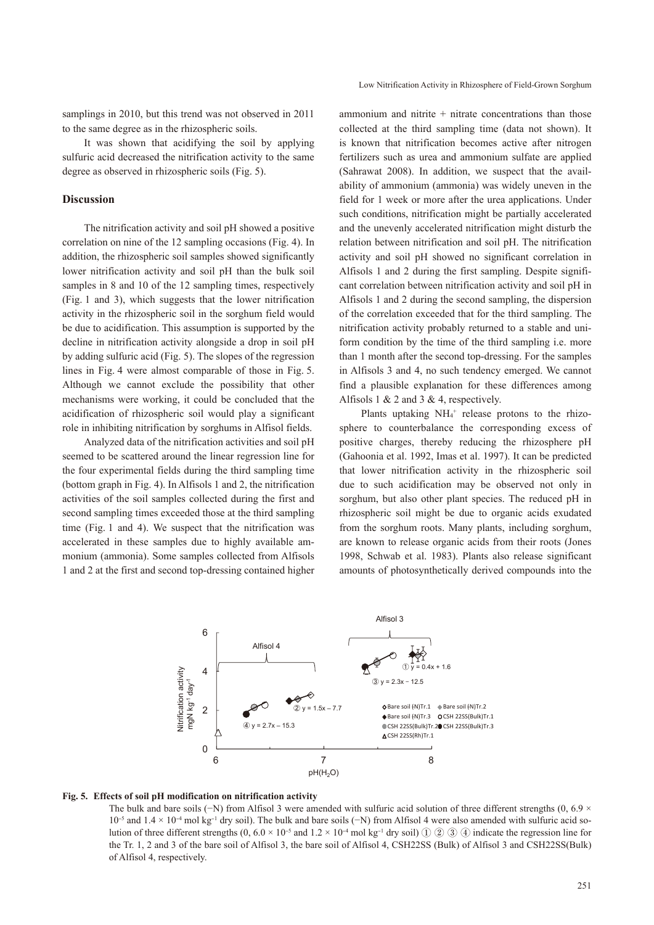samplings in 2010, but this trend was not observed in 2011 to the same degree as in the rhizospheric soils.

It was shown that acidifying the soil by applying sulfuric acid decreased the nitrification activity to the same degree as observed in rhizospheric soils (Fig. 5).

#### **Discussion**

The nitrification activity and soil pH showed a positive correlation on nine of the 12 sampling occasions (Fig. 4). In addition, the rhizospheric soil samples showed significantly lower nitrification activity and soil pH than the bulk soil samples in 8 and 10 of the 12 sampling times, respectively (Fig. 1 and 3), which suggests that the lower nitrification activity in the rhizospheric soil in the sorghum field would be due to acidification. This assumption is supported by the decline in nitrification activity alongside a drop in soil pH by adding sulfuric acid (Fig. 5). The slopes of the regression lines in Fig. 4 were almost comparable of those in Fig. 5. Although we cannot exclude the possibility that other mechanisms were working, it could be concluded that the acidification of rhizospheric soil would play a significant role in inhibiting nitrification by sorghums in Alfisol fields.

Analyzed data of the nitrification activities and soil pH seemed to be scattered around the linear regression line for the four experimental fields during the third sampling time (bottom graph in Fig. 4). In Alfisols 1 and 2, the nitrification activities of the soil samples collected during the first and second sampling times exceeded those at the third sampling time (Fig. 1 and 4). We suspect that the nitrification was accelerated in these samples due to highly available ammonium (ammonia). Some samples collected from Alfisols 1 and 2 at the first and second top-dressing contained higher ammonium and nitrite  $+$  nitrate concentrations than those collected at the third sampling time (data not shown). It is known that nitrification becomes active after nitrogen fertilizers such as urea and ammonium sulfate are applied (Sahrawat 2008). In addition, we suspect that the availability of ammonium (ammonia) was widely uneven in the field for 1 week or more after the urea applications. Under such conditions, nitrification might be partially accelerated and the unevenly accelerated nitrification might disturb the relation between nitrification and soil pH. The nitrification activity and soil pH showed no significant correlation in Alfisols 1 and 2 during the first sampling. Despite significant correlation between nitrification activity and soil pH in Alfisols 1 and 2 during the second sampling, the dispersion of the correlation exceeded that for the third sampling. The nitrification activity probably returned to a stable and uniform condition by the time of the third sampling i.e. more than 1 month after the second top-dressing. For the samples in Alfisols 3 and 4, no such tendency emerged. We cannot find a plausible explanation for these differences among Alfisols 1  $& 2$  and 3  $& 4$ , respectively.

Plants uptaking  $NH_4$ <sup>+</sup> release protons to the rhizosphere to counterbalance the corresponding excess of positive charges, thereby reducing the rhizosphere pH (Gahoonia et al. 1992, Imas et al. 1997). It can be predicted that lower nitrification activity in the rhizospheric soil due to such acidification may be observed not only in sorghum, but also other plant species. The reduced pH in rhizospheric soil might be due to organic acids exudated from the sorghum roots. Many plants, including sorghum, are known to release organic acids from their roots (Jones 1998, Schwab et al. 1983). Plants also release significant amounts of photosynthetically derived compounds into the



#### **Fig. 5. Effects of soil pH modification on nitrification activity**

The bulk and bare soils (−N) from Alfisol 3 were amended with sulfuric acid solution of three different strengths (0, 6.9  $\times$ 10-5 and 1.4 × 10-4 mol kg-1 dry soil). The bulk and bare soils (−N) from Alfisol 4 were also amended with sulfuric acid solution of three different strengths  $(0, 6.0 \times 10^{-5}$  and  $1.2 \times 10^{-4}$  mol kg<sup>-1</sup> dry soil) ① ② ③ ④ indicate the regression line for the Tr. 1, 2 and 3 of the bare soil of Alfisol 3, the bare soil of Alfisol 4, CSH22SS (Bulk) of Alfisol 3 and CSH22SS(Bulk) of Alfisol 4, respectively.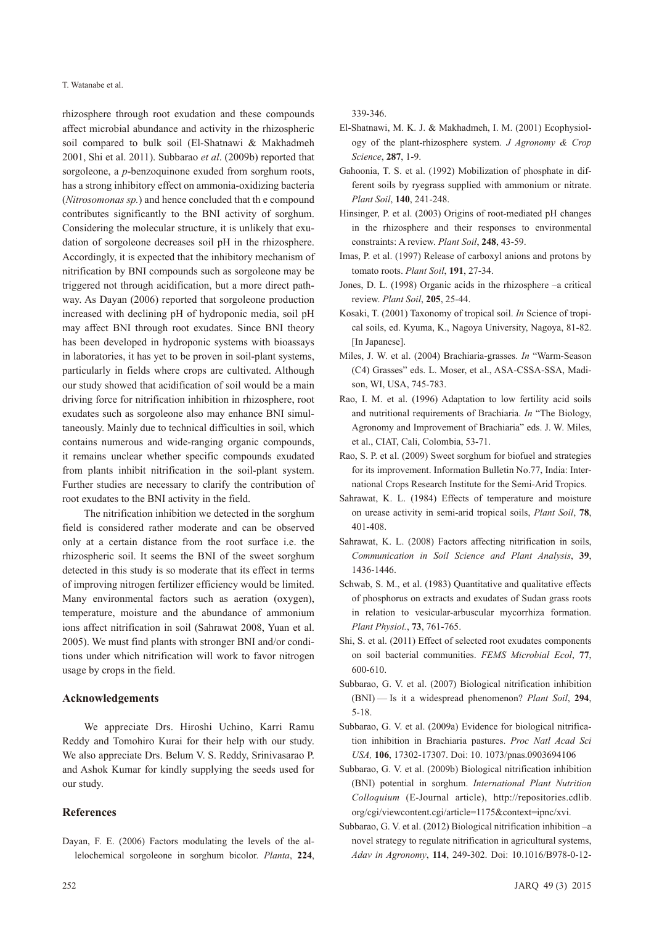#### T. Watanabe et al.

rhizosphere through root exudation and these compounds affect microbial abundance and activity in the rhizospheric soil compared to bulk soil (El-Shatnawi & Makhadmeh 2001, Shi et al. 2011). Subbarao *et al*. (2009b) reported that sorgoleone, a *p*-benzoquinone exuded from sorghum roots, has a strong inhibitory effect on ammonia-oxidizing bacteria (*Nitrosomonas sp.*) and hence concluded that th e compound contributes significantly to the BNI activity of sorghum. Considering the molecular structure, it is unlikely that exudation of sorgoleone decreases soil pH in the rhizosphere. Accordingly, it is expected that the inhibitory mechanism of nitrification by BNI compounds such as sorgoleone may be triggered not through acidification, but a more direct pathway. As Dayan (2006) reported that sorgoleone production increased with declining pH of hydroponic media, soil pH may affect BNI through root exudates. Since BNI theory has been developed in hydroponic systems with bioassays in laboratories, it has yet to be proven in soil-plant systems, particularly in fields where crops are cultivated. Although our study showed that acidification of soil would be a main driving force for nitrification inhibition in rhizosphere, root exudates such as sorgoleone also may enhance BNI simultaneously. Mainly due to technical difficulties in soil, which contains numerous and wide-ranging organic compounds, it remains unclear whether specific compounds exudated from plants inhibit nitrification in the soil-plant system. Further studies are necessary to clarify the contribution of root exudates to the BNI activity in the field.

The nitrification inhibition we detected in the sorghum field is considered rather moderate and can be observed only at a certain distance from the root surface i.e. the rhizospheric soil. It seems the BNI of the sweet sorghum detected in this study is so moderate that its effect in terms of improving nitrogen fertilizer efficiency would be limited. Many environmental factors such as aeration (oxygen), temperature, moisture and the abundance of ammonium ions affect nitrification in soil (Sahrawat 2008, Yuan et al. 2005). We must find plants with stronger BNI and/or conditions under which nitrification will work to favor nitrogen usage by crops in the field.

### **Acknowledgements**

We appreciate Drs. Hiroshi Uchino, Karri Ramu Reddy and Tomohiro Kurai for their help with our study. We also appreciate Drs. Belum V. S. Reddy, Srinivasarao P. and Ashok Kumar for kindly supplying the seeds used for our study.

# **References**

Dayan, F. E. (2006) Factors modulating the levels of the allelochemical sorgoleone in sorghum bicolor. *Planta*, **224**, 339-346.

- El-Shatnawi, M. K. J. & Makhadmeh, I. M. (2001) Ecophysiology of the plant-rhizosphere system. *J Agronomy & Crop Science*, **287**, 1-9.
- Gahoonia, T. S. et al. (1992) Mobilization of phosphate in different soils by ryegrass supplied with ammonium or nitrate. *Plant Soil*, **140**, 241-248.
- Hinsinger, P. et al. (2003) Origins of root-mediated pH changes in the rhizosphere and their responses to environmental constraints: A review. *Plant Soil*, **248**, 43-59.
- Imas, P. et al. (1997) Release of carboxyl anions and protons by tomato roots. *Plant Soil*, **191**, 27-34.
- Jones, D. L. (1998) Organic acids in the rhizosphere –a critical review. *Plant Soil*, **205**, 25-44.
- Kosaki, T. (2001) Taxonomy of tropical soil. *In* Science of tropical soils, ed. Kyuma, K., Nagoya University, Nagoya, 81-82. [In Japanese].
- Miles, J. W. et al. (2004) Brachiaria-grasses. *In* "Warm-Season (C4) Grasses" eds. L. Moser, et al., ASA-CSSA-SSA, Madison, WI, USA, 745-783.
- Rao, I. M. et al. (1996) Adaptation to low fertility acid soils and nutritional requirements of Brachiaria. *In* "The Biology, Agronomy and Improvement of Brachiaria" eds. J. W. Miles, et al., CIAT, Cali, Colombia, 53-71.
- Rao, S. P. et al. (2009) Sweet sorghum for biofuel and strategies for its improvement. Information Bulletin No.77, India: International Crops Research Institute for the Semi-Arid Tropics.
- Sahrawat, K. L. (1984) Effects of temperature and moisture on urease activity in semi-arid tropical soils, *Plant Soil*, **78**, 401-408.
- Sahrawat, K. L. (2008) Factors affecting nitrification in soils, *Communication in Soil Science and Plant Analysis*, **39**, 1436-1446.
- Schwab, S. M., et al. (1983) Quantitative and qualitative effects of phosphorus on extracts and exudates of Sudan grass roots in relation to vesicular-arbuscular mycorrhiza formation. *Plant Physiol.*, **73**, 761-765.
- Shi, S. et al. (2011) Effect of selected root exudates components on soil bacterial communities. *FEMS Microbial Ecol*, **77**, 600-610.
- Subbarao, G. V. et al. (2007) Biological nitrification inhibition (BNI) — Is it a widespread phenomenon? *Plant Soil*, **294**, 5-18.
- Subbarao, G. V. et al. (2009a) Evidence for biological nitrification inhibition in Brachiaria pastures. *Proc Natl Acad Sci USA,* **106**, 17302-17307. Doi: 10. 1073/pnas.0903694106
- Subbarao, G. V. et al. (2009b) Biological nitrification inhibition (BNI) potential in sorghum. *International Plant Nutrition Colloquium* (E-Journal article), http://repositories.cdlib. org/cgi/viewcontent.cgi/article=1175&context=ipnc/xvi.
- Subbarao, G. V. et al. (2012) Biological nitrification inhibition –a novel strategy to regulate nitrification in agricultural systems, *Adav in Agronomy*, **114**, 249-302. Doi: 10.1016/B978-0-12-